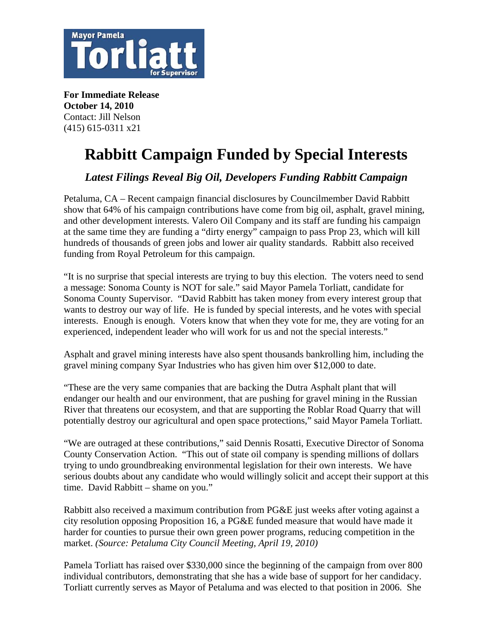

**For Immediate Release October 14, 2010**  Contact: Jill Nelson (415) 615-0311 x21

## **Rabbitt Campaign Funded by Special Interests**

*Latest Filings Reveal Big Oil, Developers Funding Rabbitt Campaign* 

Petaluma, CA – Recent campaign financial disclosures by Councilmember David Rabbitt show that 64% of his campaign contributions have come from [big oil, asphalt, gravel mining,](http://campaigndocs.sonoma-county.org/default.asp)  [and other development interests](http://campaigndocs.sonoma-county.org/default.asp). Valero Oil Company and its staff are funding his campaign at the same time they are funding a "dirty energy" campaign to pass Prop 23, which will kill hundreds of thousands of green jobs and lower air quality standards. Rabbitt also received funding from Royal Petroleum for this campaign.

"It is no surprise that special interests are trying to buy this election. The voters need to send a message: Sonoma County is NOT for sale." said Mayor Pamela Torliatt, candidate for Sonoma County Supervisor. "David Rabbitt has taken money from every interest group that wants to destroy our way of life. He is funded by special interests, and he votes with special interests. Enough is enough. Voters know that when they vote for me, they are voting for an experienced, independent leader who will work for us and not the special interests."

Asphalt and gravel mining interests have also spent thousands bankrolling him, including the gravel mining company Syar Industries who has given him over \$12,000 to date.

"These are the very same companies that are backing the Dutra Asphalt plant that will endanger our health and our environment, that are pushing for gravel mining in the Russian River that threatens our ecosystem, and that are supporting the Roblar Road Quarry that will potentially destroy our agricultural and open space protections," said Mayor Pamela Torliatt.

"We are outraged at these contributions," said Dennis Rosatti, Executive Director of Sonoma County Conservation Action. "This out of state oil company is spending millions of dollars trying to undo groundbreaking environmental legislation for their own interests. We have serious doubts about any candidate who would willingly solicit and accept their support at this time. David Rabbitt – shame on you."

Rabbitt also received a maximum contribution from PG&E just weeks after voting against a city resolution opposing Proposition 16, a PG&E funded measure that would have made it harder for counties to pursue their own green power programs, reducing competition in the market. *(Source: Petaluma City Council Meeting, April 19, 2010)*

Pamela Torliatt has raised over \$330,000 since the beginning of the campaign from over 800 individual contributors, demonstrating that she has a wide base of support for her candidacy. Torliatt currently serves as Mayor of Petaluma and was elected to that position in 2006. She